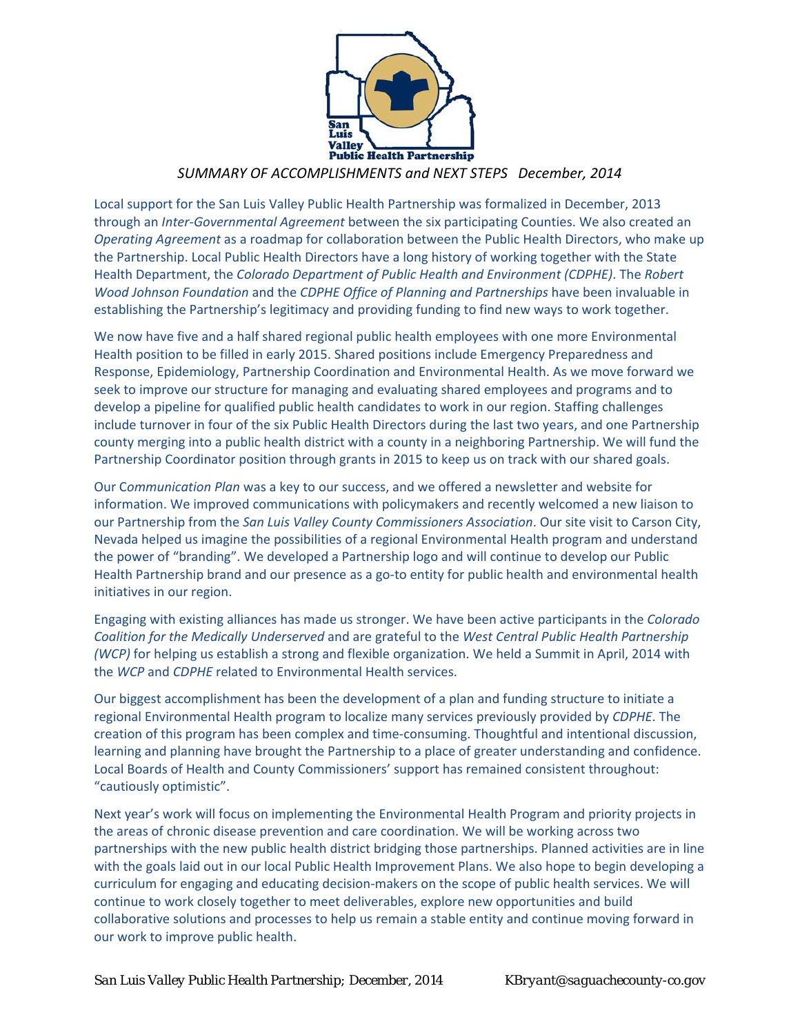

#### *SUMMARY OF ACCOMPLISHMENTS and NEXT STEPS December, 2014*

Local support for the San Luis Valley Public Health Partnership was formalized in December, 2013 through an *Inter‐Governmental Agreement* between the six participating Counties. We also created an *Operating Agreement* as a roadmap for collaboration between the Public Health Directors, who make up the Partnership. Local Public Health Directors have a long history of working together with the State Health Department, the *Colorado Department of Public Health and Environment (CDPHE)*. The *Robert Wood Johnson Foundation* and the *CDPHE Office of Planning and Partnerships* have been invaluable in establishing the Partnership's legitimacy and providing funding to find new ways to work together.

We now have five and a half shared regional public health employees with one more Environmental Health position to be filled in early 2015. Shared positions include Emergency Preparedness and Response, Epidemiology, Partnership Coordination and Environmental Health. As we move forward we seek to improve our structure for managing and evaluating shared employees and programs and to develop a pipeline for qualified public health candidates to work in our region. Staffing challenges include turnover in four of the six Public Health Directors during the last two years, and one Partnership county merging into a public health district with a county in a neighboring Partnership. We will fund the Partnership Coordinator position through grants in 2015 to keep us on track with our shared goals.

Our C*ommunication Plan* was a key to our success, and we offered a newsletter and website for information. We improved communications with policymakers and recently welcomed a new liaison to our Partnership from the *San Luis Valley County Commissioners Association*. Our site visit to Carson City, Nevada helped us imagine the possibilities of a regional Environmental Health program and understand the power of "branding". We developed a Partnership logo and will continue to develop our Public Health Partnership brand and our presence as a go-to entity for public health and environmental health initiatives in our region.

Engaging with existing alliances has made us stronger. We have been active participants in the *Colorado Coalition for the Medically Underserved* and are grateful to the *West Central Public Health Partnership (WCP)* for helping us establish a strong and flexible organization. We held a Summit in April, 2014 with the *WCP* and *CDPHE* related to Environmental Health services.

Our biggest accomplishment has been the development of a plan and funding structure to initiate a regional Environmental Health program to localize many services previously provided by *CDPHE*. The creation of this program has been complex and time‐consuming. Thoughtful and intentional discussion, learning and planning have brought the Partnership to a place of greater understanding and confidence. Local Boards of Health and County Commissioners' support has remained consistent throughout: "cautiously optimistic".

Next year's work will focus on implementing the Environmental Health Program and priority projects in the areas of chronic disease prevention and care coordination. We will be working across two partnerships with the new public health district bridging those partnerships. Planned activities are in line with the goals laid out in our local Public Health Improvement Plans. We also hope to begin developing a curriculum for engaging and educating decision‐makers on the scope of public health services. We will continue to work closely together to meet deliverables, explore new opportunities and build collaborative solutions and processes to help us remain a stable entity and continue moving forward in our work to improve public health.

*San Luis Valley Public Health Partnership; December, 2014 KBryant@saguachecounty-co.gov*